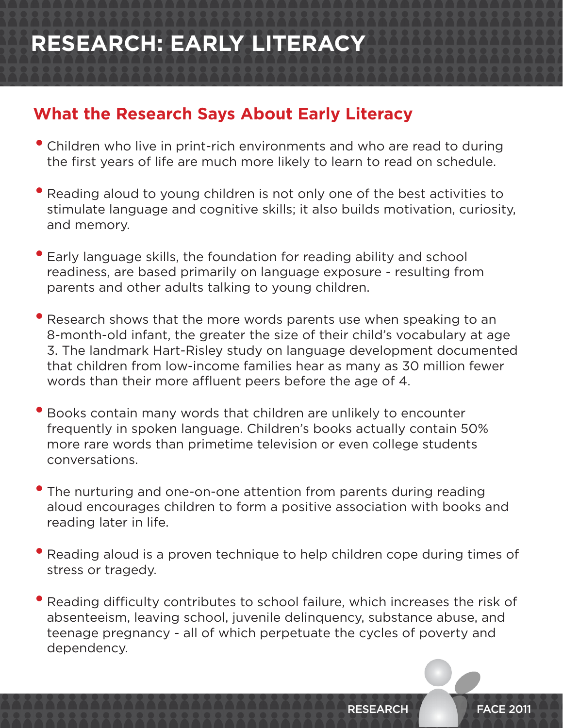# **RESEARCH: EARLY LITERACY**

### **What the Research Says About Early Literacy**

- Children who live in print-rich environments and who are read to during the first years of life are much more likely to learn to read on schedule.
- Reading aloud to young children is not only one of the best activities to stimulate language and cognitive skills; it also builds motivation, curiosity, and memory.
- Early language skills, the foundation for reading ability and school readiness, are based primarily on language exposure - resulting from parents and other adults talking to young children.
- Research shows that the more words parents use when speaking to an 8-month-old infant, the greater the size of their child's vocabulary at age 3. The landmark Hart-Risley study on language development documented that children from low-income families hear as many as 30 million fewer words than their more affluent peers before the age of 4.
- Books contain many words that children are unlikely to encounter frequently in spoken language. Children's books actually contain 50% more rare words than primetime television or even college students conversations.
- The nurturing and one-on-one attention from parents during reading aloud encourages children to form a positive association with books and reading later in life.
- Reading aloud is <sup>a</sup> proven technique to help children cope during times of stress or tragedy.
- Reading difficulty contributes to school failure, which increases the risk of absenteeism, leaving school, juvenile delinquency, substance abuse, and teenage pregnancy - all of which perpetuate the cycles of poverty and dependency.

RESEARCH FACE 2011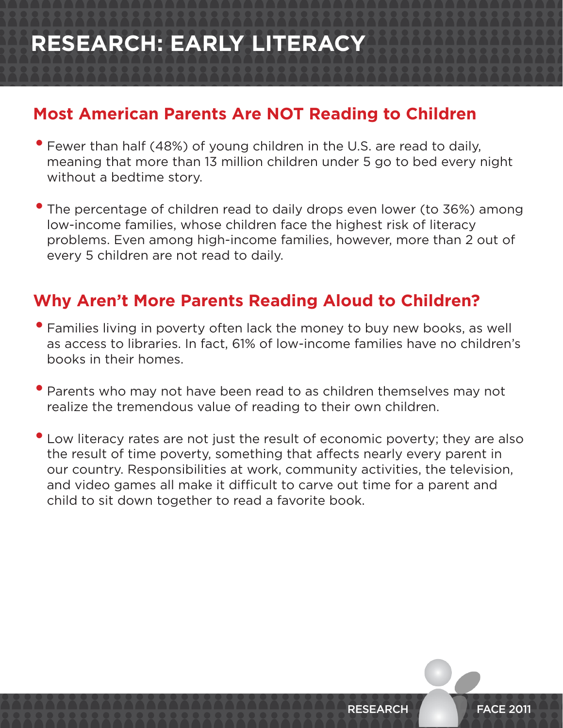# **RESEARCH: EARLY LITERACY**

#### **Most American Parents Are NOT Reading to Children**

- Fewer than half (48%) of young children in the U.S. are read to daily, meaning that more than 13 million children under 5 go to bed every night without a bedtime story.
- The percentage of children read to daily drops even lower (to 36%) among low-income families, whose children face the highest risk of literacy problems. Even among high-income families, however, more than 2 out of every 5 children are not read to daily.

#### **Why Aren't More Parents Reading Aloud to Children?**

- Families living in poverty often lack the money to buy new books, as well as access to libraries. In fact, 61% of low-income families have no children's books in their homes.
- Parents who may not have been read to as children themselves may not realize the tremendous value of reading to their own children.
- Low literacy rates are not just the result of economic poverty; they are also the result of time poverty, something that affects nearly every parent in our country. Responsibilities at work, community activities, the television, and video games all make it difficult to carve out time for a parent and child to sit down together to read a favorite book.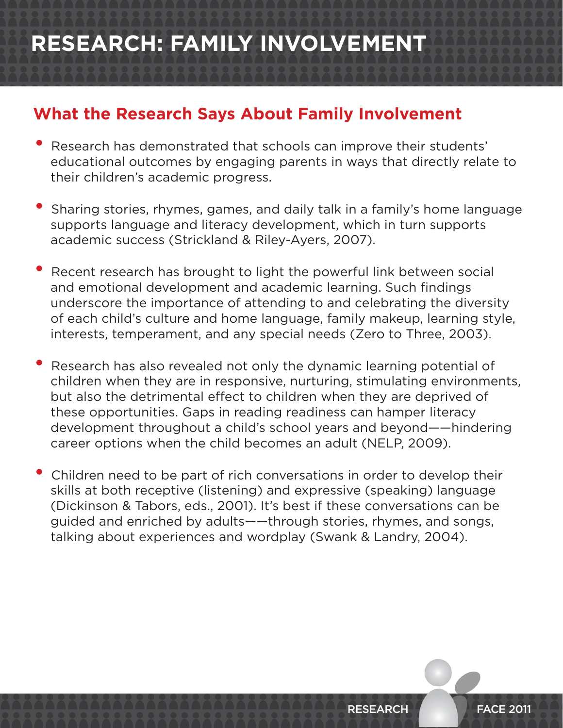## **RESEARCH: FAMILY INVOLVEMENT**

#### **What the Research Says About Family Involvement**

- Research has demonstrated that schools can improve their students' educational outcomes by engaging parents in ways that directly relate to their children's academic progress.
- Sharing stories, rhymes, games, and daily talk in <sup>a</sup> family's home language supports language and literacy development, which in turn supports academic success (Strickland & Riley-Ayers, 2007).
- Recent research has brought to light the powerful link between social and emotional development and academic learning. Such findings underscore the importance of attending to and celebrating the diversity of each child's culture and home language, family makeup, learning style, interests, temperament, and any special needs (Zero to Three, 2003).
- Research has also revealed not only the dynamic learning potential of children when they are in responsive, nurturing, stimulating environments, but also the detrimental effect to children when they are deprived of these opportunities. Gaps in reading readiness can hamper literacy development throughout a child's school years and beyond——hindering career options when the child becomes an adult (NELP, 2009).
- Children need to be part of rich conversations in order to develop their skills at both receptive (listening) and expressive (speaking) language (Dickinson & Tabors, eds., 2001). It's best if these conversations can be guided and enriched by adults——through stories, rhymes, and songs, talking about experiences and wordplay (Swank & Landry, 2004).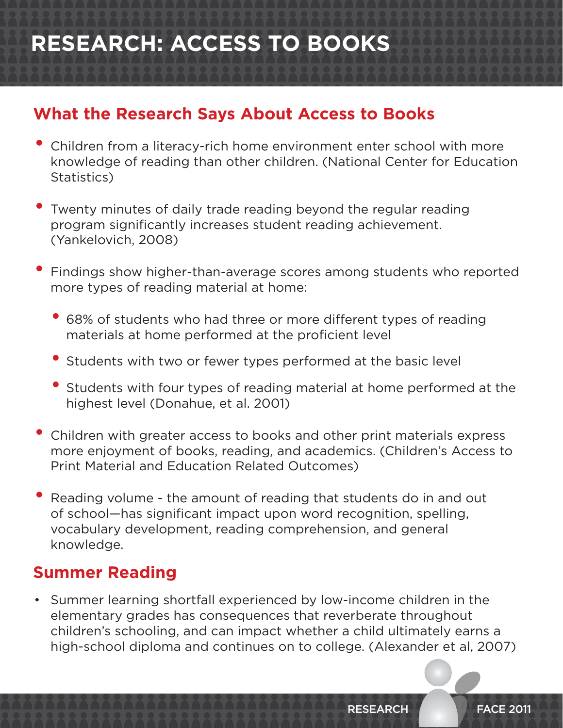# **RESEARCH: ACCESS TO BOOKS**

### **What the Research Says About Access to Books**

- Children from a literacy-rich home environment enter school with more knowledge of reading than other children. (National Center for Education Statistics)
- Twenty minutes of daily trade reading beyond the regular reading program significantly increases student reading achievement. (Yankelovich, 2008)
- Findings show higher-than-average scores among students who reported more types of reading material at home:
	- 68% of students who had three or more different types of reading materials at home performed at the proficient level
	- Students with two or fewer types performed at the basic level
	- Students with four types of reading material at home performed at the highest level (Donahue, et al. 2001)
- **Children with greater access to books and other print materials express** more enjoyment of books, reading, and academics. (Children's Access to Print Material and Education Related Outcomes)
- Reading volume the amount of reading that students do in and out of school—has significant impact upon word recognition, spelling, vocabulary development, reading comprehension, and general knowledge.

#### **Summer Reading**

• Summer learning shortfall experienced by low-income children in the elementary grades has consequences that reverberate throughout children's schooling, and can impact whether a child ultimately earns a high-school diploma and continues on to college. (Alexander et al, 2007)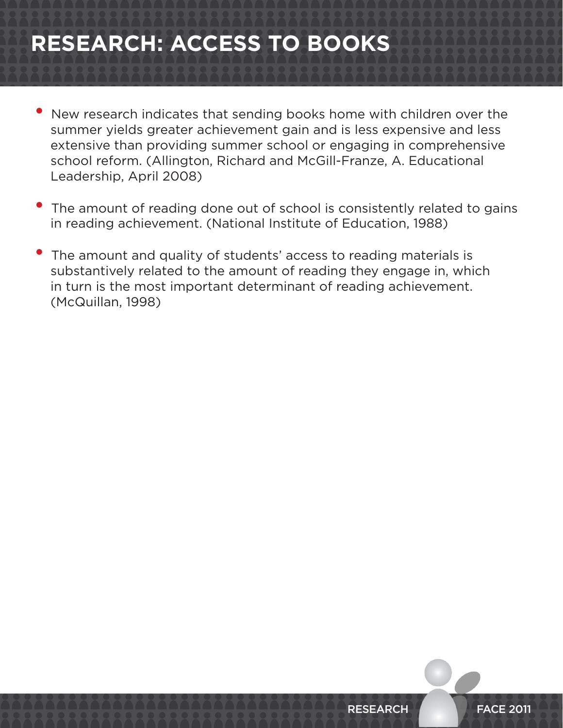## **RESEARCH: ACCESS TO BOOKS**

- New research indicates that sending books home with children over the summer yields greater achievement gain and is less expensive and less extensive than providing summer school or engaging in comprehensive school reform. (Allington, Richard and McGill-Franze, A. Educational Leadership, April 2008)
- The amount of reading done out of school is consistently related to gains in reading achievement. (National Institute of Education, 1988)
- The amount and quality of students' access to reading materials is substantively related to the amount of reading they engage in, which in turn is the most important determinant of reading achievement. (McQuillan, 1998)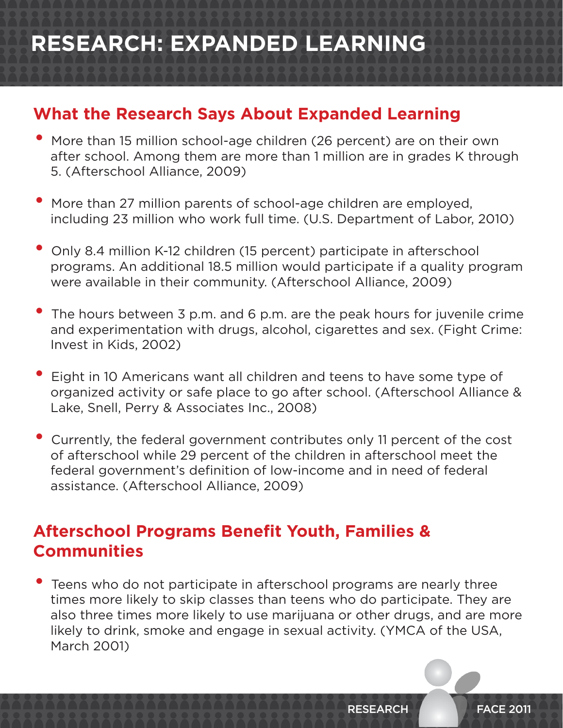## **RESEARCH: EXPANDED LEARNING**

#### **What the Research Says About Expanded Learning**

- More than <sup>15</sup> million school-age children (26 percent) are on their own after school. Among them are more than 1 million are in grades K through 5. (Afterschool Alliance, 2009)
- More than <sup>27</sup> million parents of school-age children are employed, including 23 million who work full time. (U.S. Department of Labor, 2010)
- Only 8.4 million K-12 children (15 percent) participate in afterschool programs. An additional 18.5 million would participate if a quality program were available in their community. (Afterschool Alliance, 2009)
- The hours between <sup>3</sup> p.m. and <sup>6</sup> p.m. are the peak hours for juvenile crime and experimentation with drugs, alcohol, cigarettes and sex. (Fight Crime: Invest in Kids, 2002)
- Eight in <sup>10</sup> Americans want all children and teens to have some type of organized activity or safe place to go after school. (Afterschool Alliance & Lake, Snell, Perry & Associates Inc., 2008)
- Currently, the federal government contributes only <sup>11</sup> percent of the cost of afterschool while 29 percent of the children in afterschool meet the federal government's definition of low-income and in need of federal assistance. (Afterschool Alliance, 2009)

### **Afterschool Programs Benefit Youth, Families & Communities**

• Teens who do not participate in afterschool programs are nearly three times more likely to skip classes than teens who do participate. They are also three times more likely to use marijuana or other drugs, and are more likely to drink, smoke and engage in sexual activity. (YMCA of the USA, March 2001)

RESEARCH FACE 2011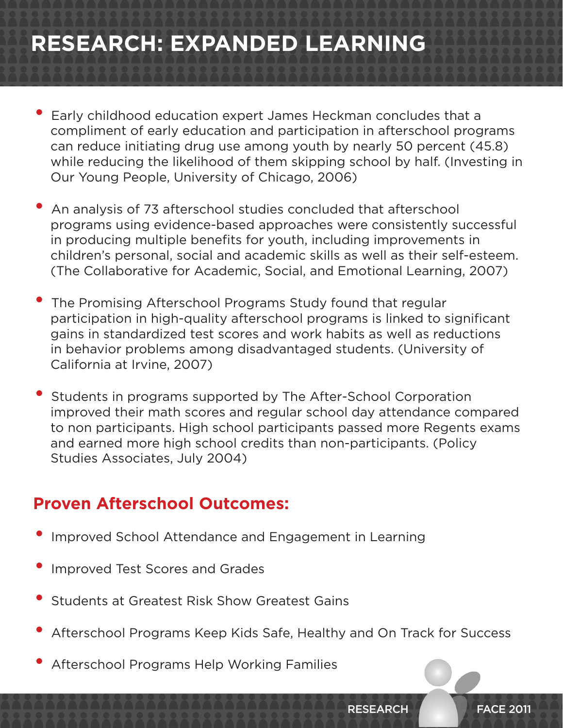# **RESEARCH: EXPANDED LEARNING**

- Early childhood education expert James Heckman concludes that <sup>a</sup> compliment of early education and participation in afterschool programs can reduce initiating drug use among youth by nearly 50 percent (45.8) while reducing the likelihood of them skipping school by half. (Investing in Our Young People, University of Chicago, 2006)
- An analysis of <sup>73</sup> afterschool studies concluded that afterschool programs using evidence-based approaches were consistently successful in producing multiple benefits for youth, including improvements in children's personal, social and academic skills as well as their self-esteem. (The Collaborative for Academic, Social, and Emotional Learning, 2007)
- The Promising Afterschool Programs Study found that regular participation in high-quality afterschool programs is linked to significant gains in standardized test scores and work habits as well as reductions in behavior problems among disadvantaged students. (University of California at Irvine, 2007)
- Students in programs supported by The After-School Corporation improved their math scores and regular school day attendance compared to non participants. High school participants passed more Regents exams and earned more high school credits than non-participants. (Policy Studies Associates, July 2004)

#### **Proven Afterschool Outcomes:**

- Improved School Attendance and Engagement in Learning
- Improved Test Scores and Grades
- Students at Greatest Risk Show Greatest Gains
- Afterschool Programs Keep Kids Safe, Healthy and On Track for Success
- Afterschool Programs Help Working Families

RESEARCH FACE 2011